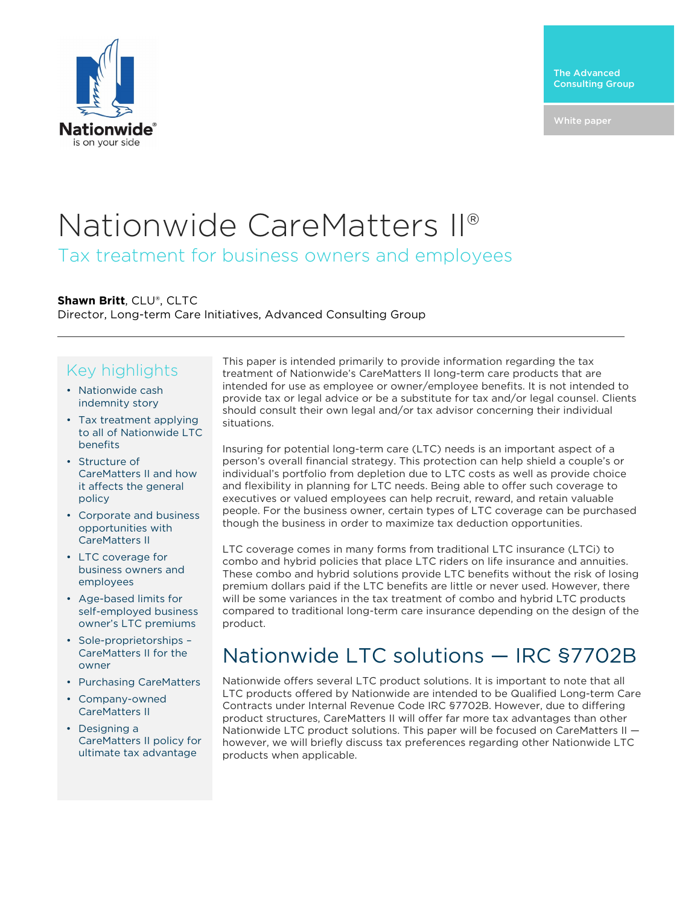

# Nationwide CareMatters II®

Tax treatment for business owners and employees

### **Shawn Britt**, CLU®, CLTC

Director, Long-term Care Initiatives, Advanced Consulting Group

### Key highlights

- Nationwide cash indemnity story
- Tax treatment applying to all of Nationwide LTC benefits
- Structure of CareMatters II and how it affects the general policy
- Corporate and business opportunities with CareMatters II
- LTC coverage for business owners and employees
- Age-based limits for self-employed business owner's LTC premiums
- Sole-proprietorships CareMatters II for the owner
- Purchasing CareMatters
- Company-owned CareMatters II
- Designing a CareMatters II policy for ultimate tax advantage

This paper is intended primarily to provide information regarding the tax treatment of Nationwide's CareMatters II long-term care products that are intended for use as employee or owner/employee benefits. It is not intended to provide tax or legal advice or be a substitute for tax and/or legal counsel. Clients should consult their own legal and/or tax advisor concerning their individual situations.

Insuring for potential long-term care (LTC) needs is an important aspect of a person's overall financial strategy. This protection can help shield a couple's or individual's portfolio from depletion due to LTC costs as well as provide choice and flexibility in planning for LTC needs. Being able to offer such coverage to executives or valued employees can help recruit, reward, and retain valuable people. For the business owner, certain types of LTC coverage can be purchased though the business in order to maximize tax deduction opportunities.

LTC coverage comes in many forms from traditional LTC insurance (LTCi) to combo and hybrid policies that place LTC riders on life insurance and annuities. These combo and hybrid solutions provide LTC benefits without the risk of losing premium dollars paid if the LTC benefits are little or never used. However, there will be some variances in the tax treatment of combo and hybrid LTC products compared to traditional long-term care insurance depending on the design of the product.

### Nationwide LTC solutions — IRC §7702B

Nationwide offers several LTC product solutions. It is important to note that all LTC products offered by Nationwide are intended to be Qualified Long-term Care Contracts under Internal Revenue Code IRC §7702B. However, due to differing product structures, CareMatters II will offer far more tax advantages than other Nationwide LTC product solutions. This paper will be focused on CareMatters II however, we will briefly discuss tax preferences regarding other Nationwide LTC products when applicable.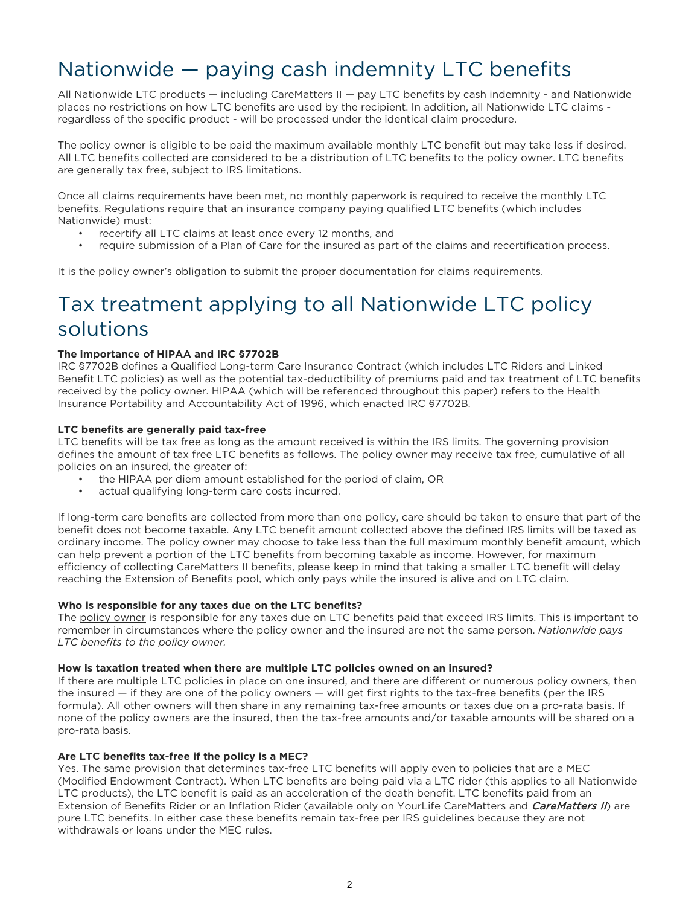### Nationwide — paying cash indemnity LTC benefits

All Nationwide LTC products — including CareMatters II — pay LTC benefits by cash indemnity - and Nationwide places no restrictions on how LTC benefits are used by the recipient. In addition, all Nationwide LTC claims regardless of the specific product - will be processed under the identical claim procedure.

The policy owner is eligible to be paid the maximum available monthly LTC benefit but may take less if desired. All LTC benefits collected are considered to be a distribution of LTC benefits to the policy owner. LTC benefits are generally tax free, subject to IRS limitations.

Once all claims requirements have been met, no monthly paperwork is required to receive the monthly LTC benefits. Regulations require that an insurance company paying qualified LTC benefits (which includes Nationwide) must:

- recertify all LTC claims at least once every 12 months, and
- require submission of a Plan of Care for the insured as part of the claims and recertification process.

It is the policy owner's obligation to submit the proper documentation for claims requirements.

### Tax treatment applying to all Nationwide LTC policy solutions

#### **The importance of HIPAA and IRC §7702B**

IRC §7702B defines a Qualified Long-term Care Insurance Contract (which includes LTC Riders and Linked Benefit LTC policies) as well as the potential tax-deductibility of premiums paid and tax treatment of LTC benefits received by the policy owner. HIPAA (which will be referenced throughout this paper) refers to the Health Insurance Portability and Accountability Act of 1996, which enacted IRC §7702B.

#### **LTC benefits are generally paid tax-free**

LTC benefits will be tax free as long as the amount received is within the IRS limits. The governing provision defines the amount of tax free LTC benefits as follows. The policy owner may receive tax free, cumulative of all policies on an insured, the greater of:

- the HIPAA per diem amount established for the period of claim, OR
- actual qualifying long-term care costs incurred.

If long-term care benefits are collected from more than one policy, care should be taken to ensure that part of the benefit does not become taxable. Any LTC benefit amount collected above the defined IRS limits will be taxed as ordinary income. The policy owner may choose to take less than the full maximum monthly benefit amount, which can help prevent a portion of the LTC benefits from becoming taxable as income. However, for maximum efficiency of collecting CareMatters II benefits, please keep in mind that taking a smaller LTC benefit will delay reaching the Extension of Benefits pool, which only pays while the insured is alive and on LTC claim.

#### **Who is responsible for any taxes due on the LTC benefits?**

The policy owner is responsible for any taxes due on LTC benefits paid that exceed IRS limits. This is important to remember in circumstances where the policy owner and the insured are not the same person. *Nationwide pays LTC benefits to the policy owner.*

#### **How is taxation treated when there are multiple LTC policies owned on an insured?**

If there are multiple LTC policies in place on one insured, and there are different or numerous policy owners, then  $the insured – if they are one of the policy owners – will get first rights to the tax-free benefits (per the IRS)$ </u> formula). All other owners will then share in any remaining tax-free amounts or taxes due on a pro-rata basis. If none of the policy owners are the insured, then the tax-free amounts and/or taxable amounts will be shared on a pro-rata basis.

#### **Are LTC benefits tax-free if the policy is a MEC?**

Yes. The same provision that determines tax-free LTC benefits will apply even to policies that are a MEC (Modified Endowment Contract). When LTC benefits are being paid via a LTC rider (this applies to all Nationwide LTC products), the LTC benefit is paid as an acceleration of the death benefit. LTC benefits paid from an Extension of Benefits Rider or an Inflation Rider (available only on YourLife CareMatters and CareMatters II) are pure LTC benefits. In either case these benefits remain tax-free per IRS guidelines because they are not withdrawals or loans under the MEC rules.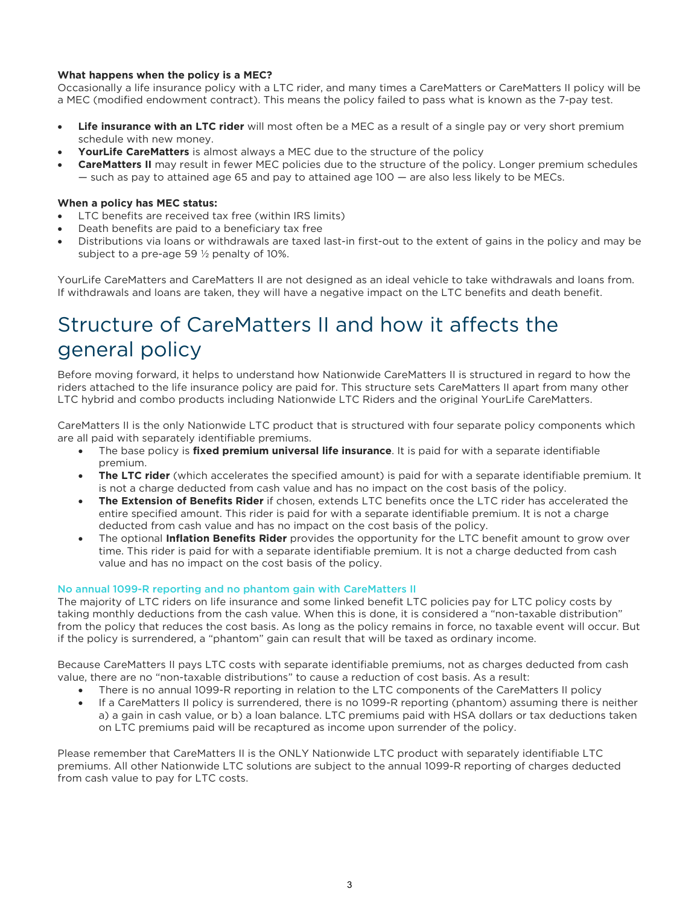#### **What happens when the policy is a MEC?**

Occasionally a life insurance policy with a LTC rider, and many times a CareMatters or CareMatters II policy will be a MEC (modified endowment contract). This means the policy failed to pass what is known as the 7-pay test.

- **Life insurance with an LTC rider** will most often be a MEC as a result of a single pay or very short premium schedule with new money.
- **YourLife CareMatters** is almost always a MEC due to the structure of the policy
- **CareMatters II** may result in fewer MEC policies due to the structure of the policy. Longer premium schedules — such as pay to attained age 65 and pay to attained age 100 — are also less likely to be MECs.

#### **When a policy has MEC status:**

- LTC benefits are received tax free (within IRS limits)
- Death benefits are paid to a beneficiary tax free
- Distributions via loans or withdrawals are taxed last-in first-out to the extent of gains in the policy and may be subject to a pre-age 59 ½ penalty of 10%.

YourLife CareMatters and CareMatters II are not designed as an ideal vehicle to take withdrawals and loans from. If withdrawals and loans are taken, they will have a negative impact on the LTC benefits and death benefit.

## Structure of CareMatters II and how it affects the general policy

Before moving forward, it helps to understand how Nationwide CareMatters II is structured in regard to how the riders attached to the life insurance policy are paid for. This structure sets CareMatters II apart from many other LTC hybrid and combo products including Nationwide LTC Riders and the original YourLife CareMatters.

CareMatters II is the only Nationwide LTC product that is structured with four separate policy components which are all paid with separately identifiable premiums.

- The base policy is **fixed premium universal life insurance**. It is paid for with a separate identifiable premium.
- **The LTC rider** (which accelerates the specified amount) is paid for with a separate identifiable premium. It is not a charge deducted from cash value and has no impact on the cost basis of the policy.
- **The Extension of Benefits Rider** if chosen, extends LTC benefits once the LTC rider has accelerated the entire specified amount. This rider is paid for with a separate identifiable premium. It is not a charge deducted from cash value and has no impact on the cost basis of the policy.
- The optional **Inflation Benefits Rider** provides the opportunity for the LTC benefit amount to grow over time. This rider is paid for with a separate identifiable premium. It is not a charge deducted from cash value and has no impact on the cost basis of the policy.

#### No annual 1099-R reporting and no phantom gain with CareMatters II

The majority of LTC riders on life insurance and some linked benefit LTC policies pay for LTC policy costs by taking monthly deductions from the cash value. When this is done, it is considered a "non-taxable distribution" from the policy that reduces the cost basis. As long as the policy remains in force, no taxable event will occur. But if the policy is surrendered, a "phantom" gain can result that will be taxed as ordinary income.

Because CareMatters II pays LTC costs with separate identifiable premiums, not as charges deducted from cash value, there are no "non-taxable distributions" to cause a reduction of cost basis. As a result:

- There is no annual 1099-R reporting in relation to the LTC components of the CareMatters II policy
- If a CareMatters II policy is surrendered, there is no 1099-R reporting (phantom) assuming there is neither a) a gain in cash value, or b) a loan balance. LTC premiums paid with HSA dollars or tax deductions taken on LTC premiums paid will be recaptured as income upon surrender of the policy.

Please remember that CareMatters II is the ONLY Nationwide LTC product with separately identifiable LTC premiums. All other Nationwide LTC solutions are subject to the annual 1099-R reporting of charges deducted from cash value to pay for LTC costs.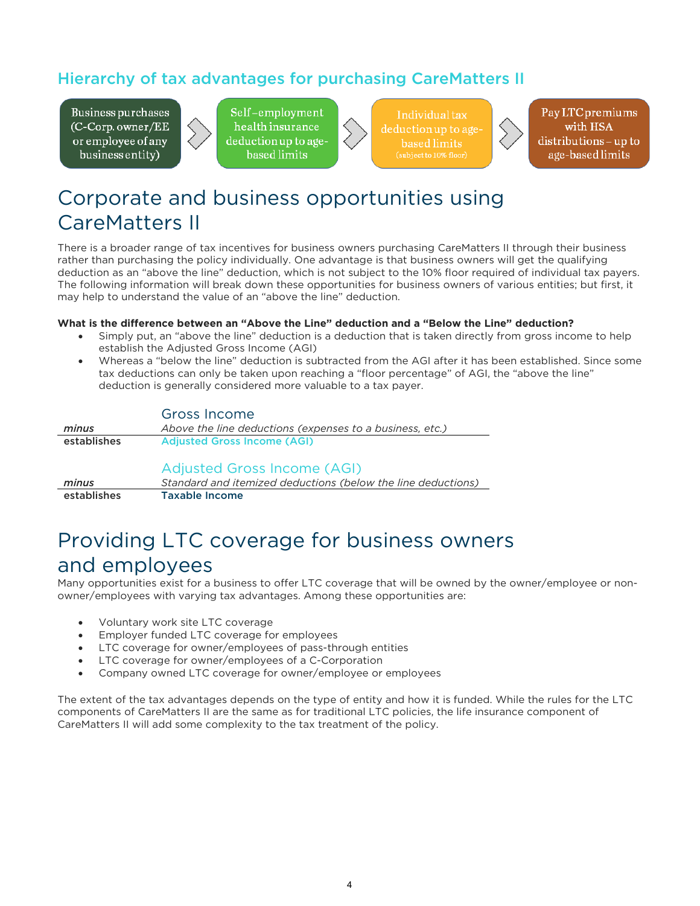### Hierarchy of tax advantages for purchasing CareMatters II

Business purchases (C-Corp. owner/EE or employee of any business entity)



Self-employment health insurance deduction up to agebased limits

Individual tax deduction up to age based limits subject to 10% floor)

Pay LTC premiums with HSA distributions – up to age-based limits

## Corporate and business opportunities using CareMatters II

There is a broader range of tax incentives for business owners purchasing CareMatters II through their business rather than purchasing the policy individually. One advantage is that business owners will get the qualifying deduction as an "above the line" deduction, which is not subject to the 10% floor required of individual tax payers. The following information will break down these opportunities for business owners of various entities; but first, it may help to understand the value of an "above the line" deduction.

### **What is the difference between an "Above the Line" deduction and a "Below the Line" deduction?**

- Simply put, an "above the line" deduction is a deduction that is taken directly from gross income to help establish the Adjusted Gross Income (AGI)
- Whereas a "below the line" deduction is subtracted from the AGI after it has been established. Since some tax deductions can only be taken upon reaching a "floor percentage" of AGI, the "above the line" deduction is generally considered more valuable to a tax payer.

|             | Gross Income                                                                                |
|-------------|---------------------------------------------------------------------------------------------|
| minus       | Above the line deductions (expenses to a business, etc.)                                    |
| establishes | <b>Adjusted Gross Income (AGI)</b>                                                          |
| minus       | Adjusted Gross Income (AGI)<br>Standard and itemized deductions (below the line deductions) |
| establishes | <b>Taxable Income</b>                                                                       |

### Providing LTC coverage for business owners and employees

Many opportunities exist for a business to offer LTC coverage that will be owned by the owner/employee or nonowner/employees with varying tax advantages. Among these opportunities are:

- Voluntary work site LTC coverage
- Employer funded LTC coverage for employees
- LTC coverage for owner/employees of pass-through entities
- LTC coverage for owner/employees of a C-Corporation
- Company owned LTC coverage for owner/employee or employees

The extent of the tax advantages depends on the type of entity and how it is funded. While the rules for the LTC components of CareMatters II are the same as for traditional LTC policies, the life insurance component of CareMatters II will add some complexity to the tax treatment of the policy.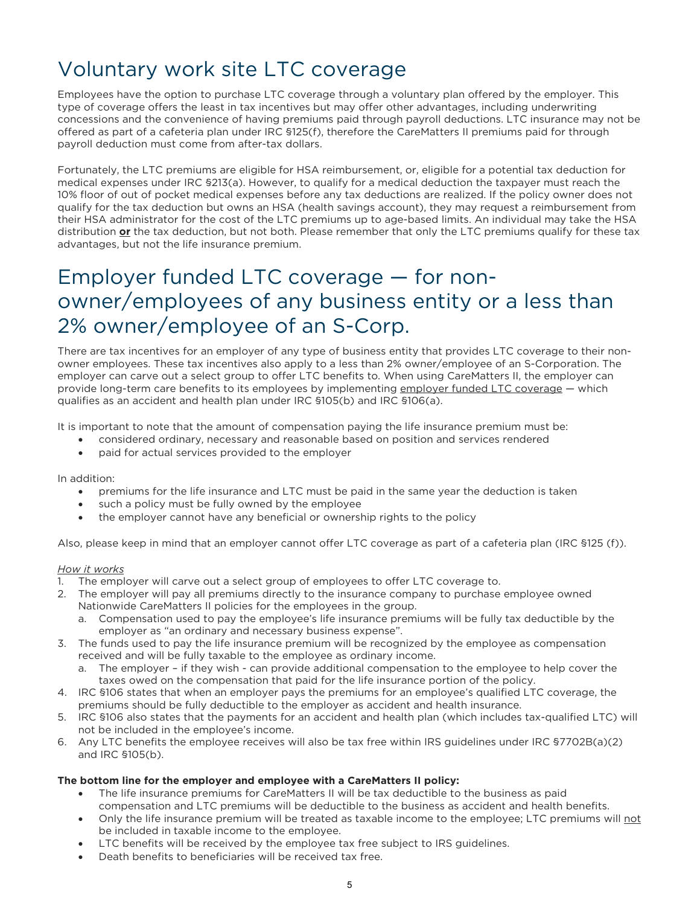# Voluntary work site LTC coverage

Employees have the option to purchase LTC coverage through a voluntary plan offered by the employer. This type of coverage offers the least in tax incentives but may offer other advantages, including underwriting concessions and the convenience of having premiums paid through payroll deductions. LTC insurance may not be offered as part of a cafeteria plan under IRC §125(f), therefore the CareMatters II premiums paid for through payroll deduction must come from after-tax dollars.

Fortunately, the LTC premiums are eligible for HSA reimbursement, or, eligible for a potential tax deduction for medical expenses under IRC §213(a). However, to qualify for a medical deduction the taxpayer must reach the 10% floor of out of pocket medical expenses before any tax deductions are realized. If the policy owner does not qualify for the tax deduction but owns an HSA (health savings account), they may request a reimbursement from their HSA administrator for the cost of the LTC premiums up to age-based limits. An individual may take the HSA distribution **or** the tax deduction, but not both. Please remember that only the LTC premiums qualify for these tax advantages, but not the life insurance premium.

### Employer funded LTC coverage — for nonowner/employees of any business entity or a less than 2% owner/employee of an S-Corp.

There are tax incentives for an employer of any type of business entity that provides LTC coverage to their nonowner employees. These tax incentives also apply to a less than 2% owner/employee of an S-Corporation. The employer can carve out a select group to offer LTC benefits to. When using CareMatters II, the employer can provide long-term care benefits to its employees by implementing employer funded LTC coverage - which qualifies as an accident and health plan under IRC §105(b) and IRC §106(a).

It is important to note that the amount of compensation paying the life insurance premium must be:

- considered ordinary, necessary and reasonable based on position and services rendered
- paid for actual services provided to the employer

In addition:

- premiums for the life insurance and LTC must be paid in the same year the deduction is taken
- such a policy must be fully owned by the employee
- the employer cannot have any beneficial or ownership rights to the policy

Also, please keep in mind that an employer cannot offer LTC coverage as part of a cafeteria plan (IRC §125 (f)).

#### *How it works*

- 1. The employer will carve out a select group of employees to offer LTC coverage to.
- 2. The employer will pay all premiums directly to the insurance company to purchase employee owned Nationwide CareMatters II policies for the employees in the group.
	- a. Compensation used to pay the employee's life insurance premiums will be fully tax deductible by the employer as "an ordinary and necessary business expense".
- 3. The funds used to pay the life insurance premium will be recognized by the employee as compensation received and will be fully taxable to the employee as ordinary income.
	- a. The employer if they wish can provide additional compensation to the employee to help cover the taxes owed on the compensation that paid for the life insurance portion of the policy.
- 4. IRC §106 states that when an employer pays the premiums for an employee's qualified LTC coverage, the premiums should be fully deductible to the employer as accident and health insurance.
- 5. IRC §106 also states that the payments for an accident and health plan (which includes tax-qualified LTC) will not be included in the employee's income.
- 6. Any LTC benefits the employee receives will also be tax free within IRS guidelines under IRC §7702B(a)(2) and IRC §105(b).

### **The bottom line for the employer and employee with a CareMatters II policy:**

- The life insurance premiums for CareMatters II will be tax deductible to the business as paid compensation and LTC premiums will be deductible to the business as accident and health benefits.
- Only the life insurance premium will be treated as taxable income to the employee; LTC premiums will not be included in taxable income to the employee.
- LTC benefits will be received by the employee tax free subject to IRS guidelines.
- Death benefits to beneficiaries will be received tax free.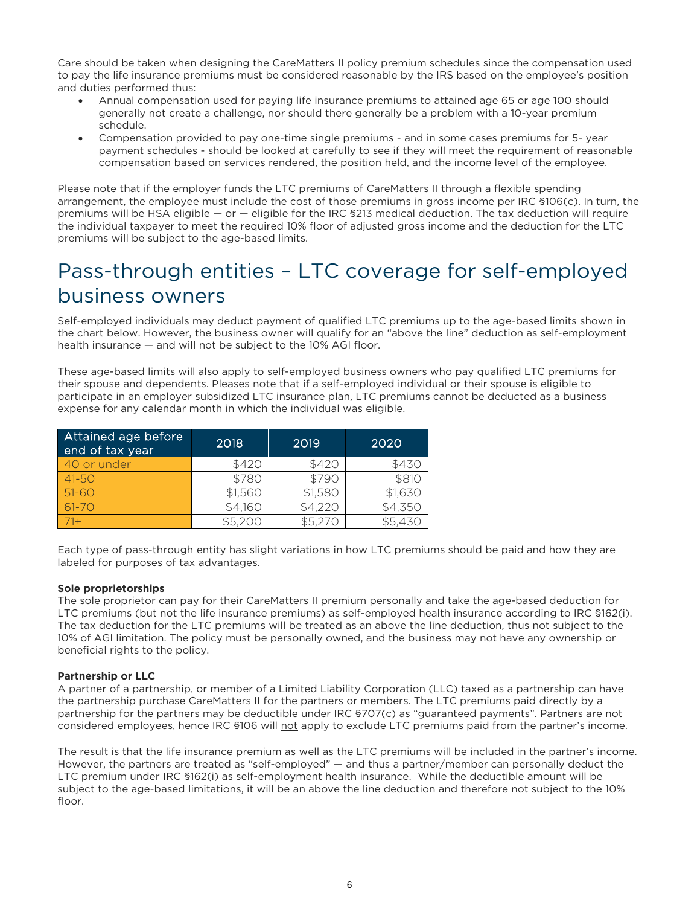Care should be taken when designing the CareMatters II policy premium schedules since the compensation used to pay the life insurance premiums must be considered reasonable by the IRS based on the employee's position and duties performed thus:

- Annual compensation used for paying life insurance premiums to attained age 65 or age 100 should generally not create a challenge, nor should there generally be a problem with a 10-year premium schedule.
- Compensation provided to pay one-time single premiums and in some cases premiums for 5- year payment schedules - should be looked at carefully to see if they will meet the requirement of reasonable compensation based on services rendered, the position held, and the income level of the employee.

Please note that if the employer funds the LTC premiums of CareMatters II through a flexible spending arrangement, the employee must include the cost of those premiums in gross income per IRC §106(c). In turn, the premiums will be HSA eligible — or — eligible for the IRC §213 medical deduction. The tax deduction will require the individual taxpayer to meet the required 10% floor of adjusted gross income and the deduction for the LTC premiums will be subject to the age-based limits.

### Pass-through entities – LTC coverage for self-employed business owners

Self-employed individuals may deduct payment of qualified LTC premiums up to the age-based limits shown in the chart below. However, the business owner will qualify for an "above the line" deduction as self-employment health insurance — and will not be subject to the 10% AGI floor.

These age-based limits will also apply to self-employed business owners who pay qualified LTC premiums for their spouse and dependents. Pleases note that if a self-employed individual or their spouse is eligible to participate in an employer subsidized LTC insurance plan, LTC premiums cannot be deducted as a business expense for any calendar month in which the individual was eligible.

| Attained age before<br>end of tax year | 2018    | 2019    | 2020    |
|----------------------------------------|---------|---------|---------|
| 40 or under                            | \$420   | \$420   | \$430   |
| $41 - 50$                              | \$780   | \$790   | \$810   |
| $51 - 60$                              | \$1,560 | \$1,580 | \$1,630 |
| $61 - 70$                              | \$4,160 | \$4,220 | \$4,350 |
| $71 +$                                 | \$5.200 | \$5.270 | \$5,430 |

Each type of pass-through entity has slight variations in how LTC premiums should be paid and how they are labeled for purposes of tax advantages.

### **Sole proprietorships**

The sole proprietor can pay for their CareMatters II premium personally and take the age-based deduction for LTC premiums (but not the life insurance premiums) as self-employed health insurance according to IRC §162(i). The tax deduction for the LTC premiums will be treated as an above the line deduction, thus not subject to the 10% of AGI limitation. The policy must be personally owned, and the business may not have any ownership or beneficial rights to the policy.

#### **Partnership or LLC**

A partner of a partnership, or member of a Limited Liability Corporation (LLC) taxed as a partnership can have the partnership purchase CareMatters II for the partners or members. The LTC premiums paid directly by a partnership for the partners may be deductible under IRC §707(c) as "guaranteed payments". Partners are not considered employees, hence IRC §106 will not apply to exclude LTC premiums paid from the partner's income.

The result is that the life insurance premium as well as the LTC premiums will be included in the partner's income. However, the partners are treated as "self-employed" — and thus a partner/member can personally deduct the LTC premium under IRC §162(i) as self-employment health insurance. While the deductible amount will be subject to the age-based limitations, it will be an above the line deduction and therefore not subject to the 10% floor.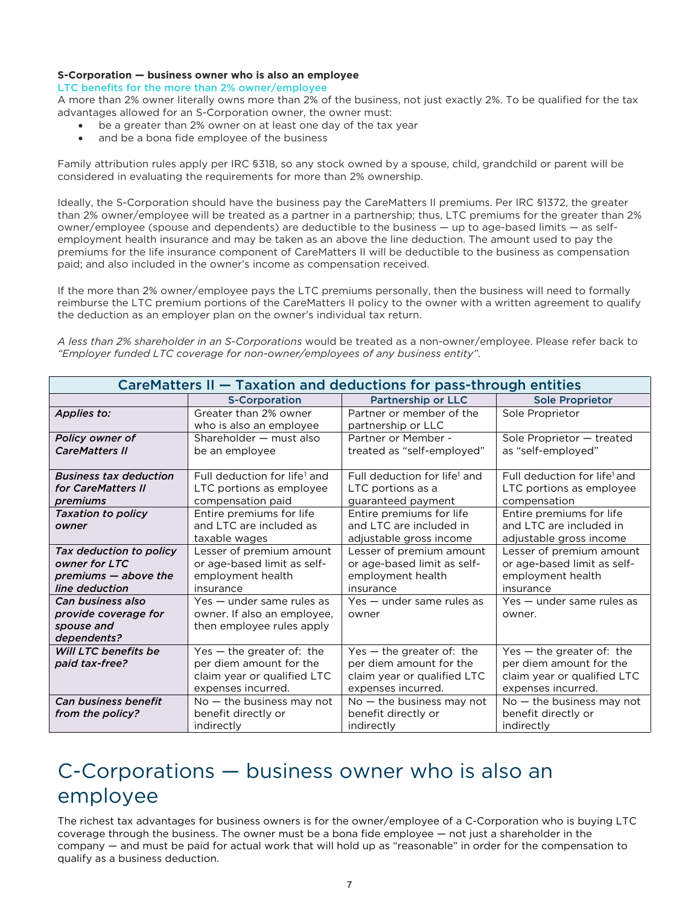#### **S-Corporation — business owner who is also an employee**

LTC benefits for the more than 2% owner/employee

A more than 2% owner literally owns more than 2% of the business, not just exactly 2%. To be qualified for the tax advantages allowed for an S-Corporation owner, the owner must:

- be a greater than 2% owner on at least one day of the tax year
- and be a bona fide employee of the business

Family attribution rules apply per IRC §318, so any stock owned by a spouse, child, grandchild or parent will be considered in evaluating the requirements for more than 2% ownership.

Ideally, the S-Corporation should have the business pay the CareMatters II premiums. Per IRC §1372, the greater than 2% owner/employee will be treated as a partner in a partnership; thus, LTC premiums for the greater than 2% owner/employee (spouse and dependents) are deductible to the business — up to age-based limits — as selfemployment health insurance and may be taken as an above the line deduction. The amount used to pay the premiums for the life insurance component of CareMatters II will be deductible to the business as compensation paid; and also included in the owner's income as compensation received.

If the more than 2% owner/employee pays the LTC premiums personally, then the business will need to formally reimburse the LTC premium portions of the CareMatters II policy to the owner with a written agreement to qualify the deduction as an employer plan on the owner's individual tax return.

*A less than 2% shareholder in an S-Corporations* would be treated as a non-owner/employee. Please refer back to *"Employer funded LTC coverage for non-owner/employees of any business entity"*.

| CareMatters II – Taxation and deductions for pass-through entities                 |                                                                                                             |                                                                                                             |                                                                                                             |
|------------------------------------------------------------------------------------|-------------------------------------------------------------------------------------------------------------|-------------------------------------------------------------------------------------------------------------|-------------------------------------------------------------------------------------------------------------|
|                                                                                    | <b>S-Corporation</b>                                                                                        | <b>Partnership or LLC</b>                                                                                   | <b>Sole Proprietor</b>                                                                                      |
| Applies to:                                                                        | Greater than 2% owner<br>who is also an employee                                                            | Partner or member of the<br>partnership or LLC                                                              | Sole Proprietor                                                                                             |
| Policy owner of<br><b>CareMatters II</b>                                           | Shareholder - must also<br>be an employee                                                                   | Partner or Member -<br>treated as "self-employed"                                                           | Sole Proprietor - treated<br>as "self-employed"                                                             |
| <b>Business tax deduction</b><br>for CareMatters II<br>premiums                    | Full deduction for life <sup>1</sup> and<br>LTC portions as employee<br>compensation paid                   | Full deduction for life <sup>1</sup> and<br>LTC portions as a<br>guaranteed payment                         | Full deduction for life <sup>1</sup> and<br>LTC portions as employee<br>compensation                        |
| <b>Taxation to policy</b><br>owner                                                 | Entire premiums for life<br>and LTC are included as<br>taxable wages                                        | Entire premiums for life<br>and LTC are included in<br>adjustable gross income                              | Entire premiums for life<br>and LTC are included in<br>adjustable gross income                              |
| Tax deduction to policy<br>owner for LTC<br>premiums - above the<br>line deduction | Lesser of premium amount<br>or age-based limit as self-<br>employment health<br>insurance                   | Lesser of premium amount<br>or age-based limit as self-<br>employment health<br>insurance                   | Lesser of premium amount<br>or age-based limit as self-<br>employment health<br>insurance                   |
| Can business also<br>provide coverage for<br>spouse and<br>dependents?             | Yes - under same rules as<br>owner. If also an employee,<br>then employee rules apply                       | Yes - under same rules as<br>owner                                                                          | Yes - under same rules as<br>owner.                                                                         |
| Will LTC benefits be<br>paid tax-free?                                             | Yes $-$ the greater of: the<br>per diem amount for the<br>claim year or qualified LTC<br>expenses incurred. | Yes $-$ the greater of: the<br>per diem amount for the<br>claim year or qualified LTC<br>expenses incurred. | Yes $-$ the greater of: the<br>per diem amount for the<br>claim year or qualified LTC<br>expenses incurred. |
| <b>Can business benefit</b><br>from the policy?                                    | $No$ – the business may not<br>benefit directly or<br>indirectly                                            | $No$ – the business may not<br>benefit directly or<br>indirectly                                            | $No$ – the business may not<br>benefit directly or<br>indirectly                                            |

### C-Corporations — business owner who is also an employee

The richest tax advantages for business owners is for the owner/employee of a C-Corporation who is buying LTC coverage through the business. The owner must be a bona fide employee — not just a shareholder in the company — and must be paid for actual work that will hold up as "reasonable" in order for the compensation to qualify as a business deduction.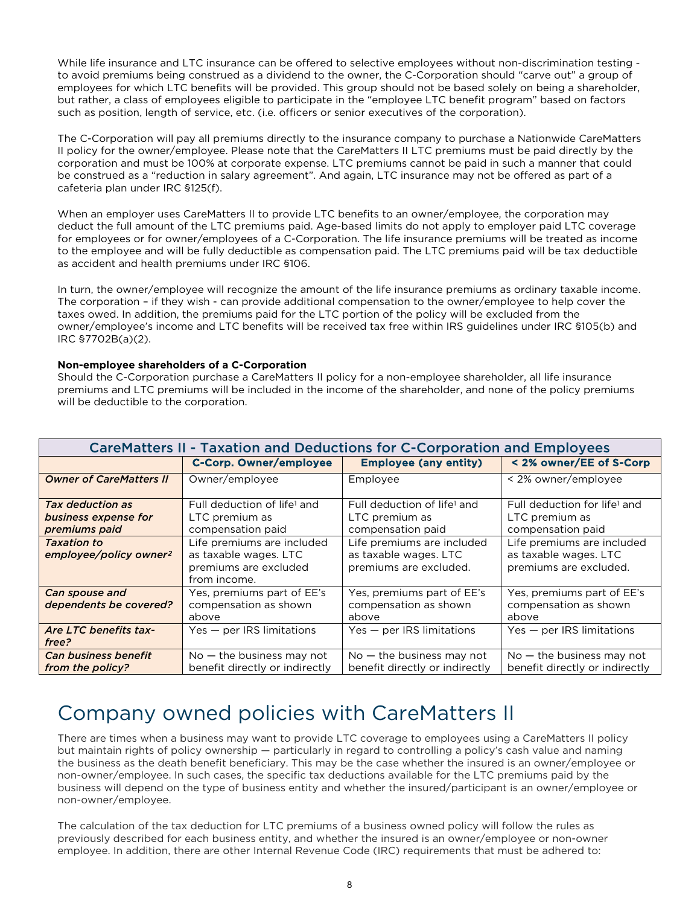While life insurance and LTC insurance can be offered to selective employees without non-discrimination testing to avoid premiums being construed as a dividend to the owner, the C-Corporation should "carve out" a group of employees for which LTC benefits will be provided. This group should not be based solely on being a shareholder, but rather, a class of employees eligible to participate in the "employee LTC benefit program" based on factors such as position, length of service, etc. (i.e. officers or senior executives of the corporation).

The C-Corporation will pay all premiums directly to the insurance company to purchase a Nationwide CareMatters II policy for the owner/employee. Please note that the CareMatters II LTC premiums must be paid directly by the corporation and must be 100% at corporate expense. LTC premiums cannot be paid in such a manner that could be construed as a "reduction in salary agreement". And again, LTC insurance may not be offered as part of a cafeteria plan under IRC §125(f).

When an employer uses CareMatters II to provide LTC benefits to an owner/employee, the corporation may deduct the full amount of the LTC premiums paid. Age-based limits do not apply to employer paid LTC coverage for employees or for owner/employees of a C-Corporation. The life insurance premiums will be treated as income to the employee and will be fully deductible as compensation paid. The LTC premiums paid will be tax deductible as accident and health premiums under IRC §106.

In turn, the owner/employee will recognize the amount of the life insurance premiums as ordinary taxable income. The corporation – if they wish - can provide additional compensation to the owner/employee to help cover the taxes owed. In addition, the premiums paid for the LTC portion of the policy will be excluded from the owner/employee's income and LTC benefits will be received tax free within IRS guidelines under IRC §105(b) and IRC §7702B(a)(2).

### **Non-employee shareholders of a C-Corporation**

Should the C-Corporation purchase a CareMatters II policy for a non-employee shareholder, all life insurance premiums and LTC premiums will be included in the income of the shareholder, and none of the policy premiums will be deductible to the corporation.

| CareMatters II - Taxation and Deductions for C-Corporation and Employees |                                                                                              |                                                                                |                                                                                 |  |
|--------------------------------------------------------------------------|----------------------------------------------------------------------------------------------|--------------------------------------------------------------------------------|---------------------------------------------------------------------------------|--|
|                                                                          | <b>C-Corp. Owner/employee</b>                                                                | <b>Employee (any entity)</b>                                                   | < 2% owner/EE of S-Corp                                                         |  |
| <b>Owner of CareMatters II</b>                                           | Owner/employee                                                                               | Employee                                                                       | < 2% owner/employee                                                             |  |
| Tax deduction as<br>business expense for<br>premiums paid                | Full deduction of life <sup>1</sup> and<br>LTC premium as<br>compensation paid               | Full deduction of life <sup>1</sup> and<br>LTC premium as<br>compensation paid | Full deduction for life <sup>1</sup> and<br>LTC premium as<br>compensation paid |  |
| <b>Taxation to</b><br>employee/policy owner <sup>2</sup>                 | Life premiums are included<br>as taxable wages. LTC<br>premiums are excluded<br>from income. | Life premiums are included<br>as taxable wages. LTC<br>premiums are excluded.  | Life premiums are included<br>as taxable wages. LTC<br>premiums are excluded.   |  |
| Can spouse and<br>dependents be covered?                                 | Yes, premiums part of EE's<br>compensation as shown<br>above                                 | Yes, premiums part of EE's<br>compensation as shown<br>above                   | Yes, premiums part of EE's<br>compensation as shown<br>above                    |  |
| Are LTC benefits tax-<br><i>free?</i>                                    | $Yes - per IRS$ limitations                                                                  | $Yes - per IRS$ limitations                                                    | $Yes - per IRS$ limitations                                                     |  |
| <b>Can business benefit</b><br>from the policy?                          | $No$ – the business may not<br>benefit directly or indirectly                                | $No$ – the business may not<br>benefit directly or indirectly                  | $No$ – the business may not<br>benefit directly or indirectly                   |  |

### Company owned policies with CareMatters II

There are times when a business may want to provide LTC coverage to employees using a CareMatters II policy but maintain rights of policy ownership — particularly in regard to controlling a policy's cash value and naming the business as the death benefit beneficiary. This may be the case whether the insured is an owner/employee or non-owner/employee. In such cases, the specific tax deductions available for the LTC premiums paid by the business will depend on the type of business entity and whether the insured/participant is an owner/employee or non-owner/employee.

The calculation of the tax deduction for LTC premiums of a business owned policy will follow the rules as previously described for each business entity, and whether the insured is an owner/employee or non-owner employee. In addition, there are other Internal Revenue Code (IRC) requirements that must be adhered to: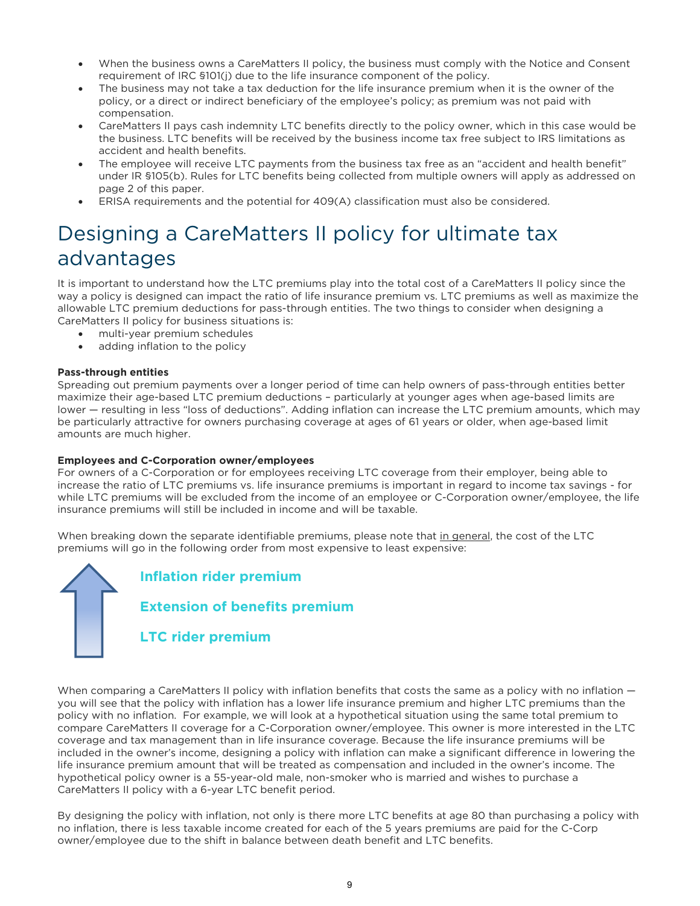- When the business owns a CareMatters II policy, the business must comply with the Notice and Consent requirement of IRC §101(j) due to the life insurance component of the policy.
- The business may not take a tax deduction for the life insurance premium when it is the owner of the policy, or a direct or indirect beneficiary of the employee's policy; as premium was not paid with compensation.
- CareMatters II pays cash indemnity LTC benefits directly to the policy owner, which in this case would be the business. LTC benefits will be received by the business income tax free subject to IRS limitations as accident and health benefits.
- The employee will receive LTC payments from the business tax free as an "accident and health benefit" under IR §105(b). Rules for LTC benefits being collected from multiple owners will apply as addressed on page 2 of this paper.
- ERISA requirements and the potential for 409(A) classification must also be considered.

# Designing a CareMatters II policy for ultimate tax advantages

It is important to understand how the LTC premiums play into the total cost of a CareMatters II policy since the way a policy is designed can impact the ratio of life insurance premium vs. LTC premiums as well as maximize the allowable LTC premium deductions for pass-through entities. The two things to consider when designing a CareMatters II policy for business situations is:

- multi-year premium schedules
- adding inflation to the policy

### **Pass-through entities**

Spreading out premium payments over a longer period of time can help owners of pass-through entities better maximize their age-based LTC premium deductions – particularly at younger ages when age-based limits are lower — resulting in less "loss of deductions". Adding inflation can increase the LTC premium amounts, which may be particularly attractive for owners purchasing coverage at ages of 61 years or older, when age-based limit amounts are much higher.

### **Employees and C-Corporation owner/employees**

For owners of a C-Corporation or for employees receiving LTC coverage from their employer, being able to increase the ratio of LTC premiums vs. life insurance premiums is important in regard to income tax savings - for while LTC premiums will be excluded from the income of an employee or C-Corporation owner/employee, the life insurance premiums will still be included in income and will be taxable.

When breaking down the separate identifiable premiums, please note that in general, the cost of the LTC premiums will go in the following order from most expensive to least expensive:

**Inflation rider premium Extension of benefits premium LTC rider premium**

When comparing a CareMatters II policy with inflation benefits that costs the same as a policy with no inflation – you will see that the policy with inflation has a lower life insurance premium and higher LTC premiums than the policy with no inflation. For example, we will look at a hypothetical situation using the same total premium to compare CareMatters II coverage for a C-Corporation owner/employee. This owner is more interested in the LTC coverage and tax management than in life insurance coverage. Because the life insurance premiums will be included in the owner's income, designing a policy with inflation can make a significant difference in lowering the life insurance premium amount that will be treated as compensation and included in the owner's income. The hypothetical policy owner is a 55-year-old male, non-smoker who is married and wishes to purchase a CareMatters II policy with a 6-year LTC benefit period.

By designing the policy with inflation, not only is there more LTC benefits at age 80 than purchasing a policy with no inflation, there is less taxable income created for each of the 5 years premiums are paid for the C-Corp owner/employee due to the shift in balance between death benefit and LTC benefits.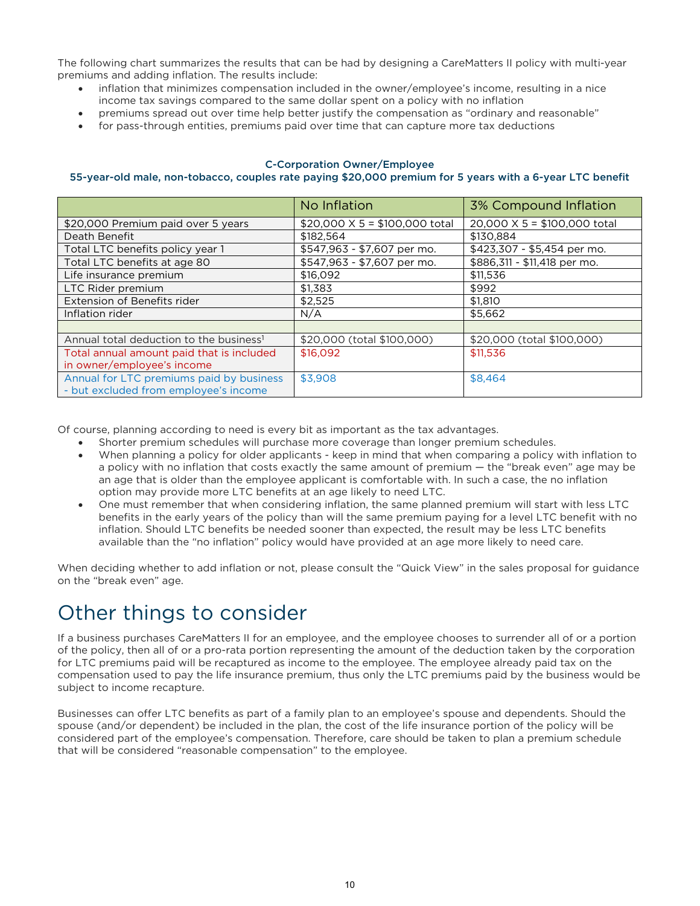The following chart summarizes the results that can be had by designing a CareMatters II policy with multi-year premiums and adding inflation. The results include:

- inflation that minimizes compensation included in the owner/employee's income, resulting in a nice income tax savings compared to the same dollar spent on a policy with no inflation
- premiums spread out over time help better justify the compensation as "ordinary and reasonable"
- for pass-through entities, premiums paid over time that can capture more tax deductions

#### C-Corporation Owner/Employee

#### 55-year-old male, non-tobacco, couples rate paying \$20,000 premium for 5 years with a 6-year LTC benefit

|                                                                                   | No Inflation                          | 3% Compound Inflation        |
|-----------------------------------------------------------------------------------|---------------------------------------|------------------------------|
| \$20,000 Premium paid over 5 years                                                | \$20,000 $\times$ 5 = \$100,000 total | 20,000 X 5 = \$100,000 total |
| Death Benefit                                                                     | \$182.564                             | \$130.884                    |
| Total LTC benefits policy year 1                                                  | \$547,963 - \$7,607 per mo.           | \$423,307 - \$5,454 per mo.  |
| Total LTC benefits at age 80                                                      | \$547,963 - \$7,607 per mo.           | \$886,311 - \$11,418 per mo. |
| Life insurance premium                                                            | \$16,092                              | \$11,536                     |
| LTC Rider premium                                                                 | \$1.383                               | \$992                        |
| Extension of Benefits rider                                                       | \$2.525                               | \$1,810                      |
| Inflation rider                                                                   | N/A                                   | \$5.662                      |
|                                                                                   |                                       |                              |
| Annual total deduction to the business <sup>1</sup>                               | \$20,000 (total \$100,000)            | \$20,000 (total \$100,000)   |
| Total annual amount paid that is included                                         | \$16,092                              | \$11,536                     |
| in owner/employee's income                                                        |                                       |                              |
| Annual for LTC premiums paid by business<br>- but excluded from employee's income | \$3,908                               | \$8,464                      |

Of course, planning according to need is every bit as important as the tax advantages.

- Shorter premium schedules will purchase more coverage than longer premium schedules.
- When planning a policy for older applicants keep in mind that when comparing a policy with inflation to a policy with no inflation that costs exactly the same amount of premium — the "break even" age may be an age that is older than the employee applicant is comfortable with. In such a case, the no inflation option may provide more LTC benefits at an age likely to need LTC.
- One must remember that when considering inflation, the same planned premium will start with less LTC benefits in the early years of the policy than will the same premium paying for a level LTC benefit with no inflation. Should LTC benefits be needed sooner than expected, the result may be less LTC benefits available than the "no inflation" policy would have provided at an age more likely to need care.

When deciding whether to add inflation or not, please consult the "Quick View" in the sales proposal for guidance on the "break even" age.

### Other things to consider

If a business purchases CareMatters II for an employee, and the employee chooses to surrender all of or a portion of the policy, then all of or a pro-rata portion representing the amount of the deduction taken by the corporation for LTC premiums paid will be recaptured as income to the employee. The employee already paid tax on the compensation used to pay the life insurance premium, thus only the LTC premiums paid by the business would be subject to income recapture.

Businesses can offer LTC benefits as part of a family plan to an employee's spouse and dependents. Should the spouse (and/or dependent) be included in the plan, the cost of the life insurance portion of the policy will be considered part of the employee's compensation. Therefore, care should be taken to plan a premium schedule that will be considered "reasonable compensation" to the employee.